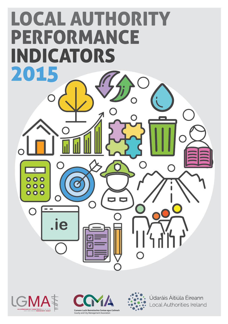







Údaráis Áitiúla Éireann **Local Authorities Ireland**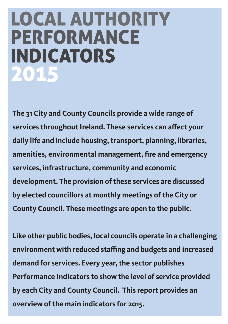# LOCAL AUTHORITY PERFORMANCE INDICATORS 2015

**The 31 City and County Councils provide a wide range of services throughout Ireland. These services can affect your daily life and include housing, transport, planning, libraries, amenities, environmental management, fire and emergency services, infrastructure, community and economic development. The provision of these services are discussed by elected councillors at monthly meetings of the City or County Council. These meetings are open to the public.**

**Like other public bodies, local councils operate in a challenging environment with reduced staffing and budgets and increased demand for services. Every year, the sector publishes Performance Indicators to show the level of service provided by each City and County Council. This report provides an overview of the main indicators for 2015.**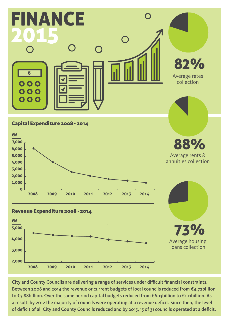

City and County Councils are delivering a range of services under difficult financial constraints. Between 2008 and 2014 the revenue or current budgets of local councils reduced from €4.72billion to €3.88billion. Over the same period capital budgets reduced from €6.13billion to €1.11billion. As a result, by 2012 the majority of councils were operating at a revenue deficit. Since then, the level of deficit of all City and County Councils reduced and by 2015, 15 of 31 councils operated at a deficit.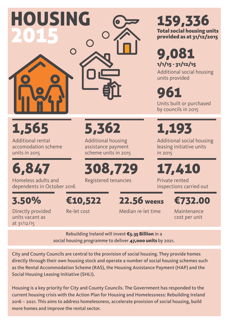

### Total social housing units provided as at 31/12/2015 159,336

9,081 1/1/15 - 31/12/15

Additional social housing units provided

Units built or purchased by councils in 2015 961

### 1,565

Additional rental accomodation scheme units in 2015

6,847

Homeless adults and dependents in October 2016

3.50%

Directly provided units vacant as at 31/12/15

### 5,362

Additional housing assistance payment scheme units in 2015

# 308,729

Registered tenancies

€10,522

Re-let cost

**22.56** weeks

1,193

Additional social housing leasing initiative units in 2015

17,410

Private rented inspections carried out

€732.00

Median re-let time

Maintenance cost per unit

Rebuilding Ireland will invest €5.35 Billion in a social housing programme to deliver 47,000 units by 2021.

City and County Councils are central to the provision of social housing. They provide homes directly through their own housing stock and operate a number of social housing schemes such as the Rental Accommodation Scheme (RAS), the Housing Assistance Payment (HAP) and the Social Housing Leasing Initiative (SHLI).

Housing is a key priority for City and County Councils. The Government has responded to the current housing crisis with the Action Plan for Housing and Homelessness: Rebuilding Ireland 2016 – 2021. This aims to address homelessness, accelerate provision of social housing, build more homes and improve the rental sector.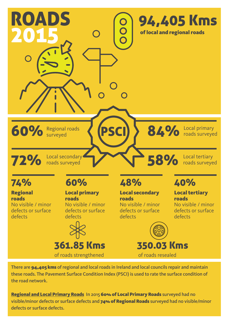



There are **94,405 kms** of regional and local roads in Ireland and local councils repair and maintain these roads. The Pavement Surface Condition Index (PSCI) is used to rate the surface condition of the road network.

Regional and Local Primary Roads In 2015 60% of Local Primary Roads surveyed had no visible/minor defects or surface defects and **74% of Regional Roads** surveyed had no visible/minor defects or surface defects.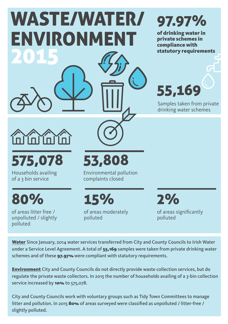# WASTE/WATER/ ENVIRONMENT

### 97.97%

of drinking water in private schemes in compliance with statutory requirements

# 55,169

Samples taken from private drinking water schemes



# 575,078

Households availing of a 3 bin service

80%

of areas litter free / unpolluted / slightly polluted

## 53,808

Environmental pollution complaints closed

15%

of areas moderately polluted

of areas significantly polluted 2%

Water Since January, 2014 water services transferred from City and County Councils to Irish Water under a Service Level Agreement. A total of 55,169 samples were taken from private drinking water schemes and of these 97.97% were compliant with statutory requirements.

Environment City and County Councils do not directly provide waste collection services, but do regulate the private waste collectors. In 2015 the number of households availing of a 3-bin collection service increased by 10% to 575,078.

City and County Councils work with voluntary groups such as Tidy Town Committees to manage litter and pollution. In 2015 80% of areas surveyed were classified as unpolluted / litter-free / slightly polluted.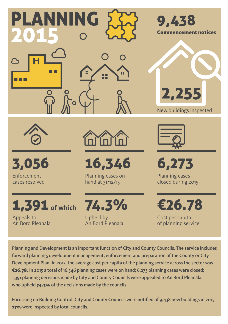



Enforcement cases resolved 3,056



Appeals to An Bord Pleanala



16,346

Planning cases on hand at 31/12/15

74.3%

Upheld by An Bord Pleanala



6,273

Planning cases closed during 2015

€26.78

Cost per capita of planning service

Planning and Development is an important function of City and County Councils. The service includes forward planning, development management, enforcement and preparation of the County or City Development Plan. In 2015, the average cost per capita of the planning service across the sector was €26.78. In 2015 a total of 16,346 planning cases were on hand; 6,273 planning cases were closed; 1,391 planning decisions made by City and County Councils were appealed to An Bord Pleanála, who upheld **74.3%** of the decisions made by the councils.

Focussing on Building Control, City and County Councils were notified of 9,438 new buildings in 2015, 27% were inspected by local councils.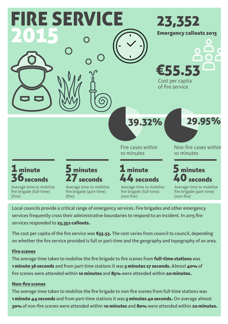

Local councils provide a critical range of emergency services. Fire brigades and other emergency services frequently cross their administrative boundaries to respond to an incident. In 2015 fire services responded to 23,352 callouts.

The cost per capita of the fire service was €55.53. The cost varies from council to council, depending on whether the fire service provided is full or part-time and the geography and topography of an area.

### Fire scenes

The average time taken to mobilise the fire brigade to fire scenes from **full-time stations** was 1 minute 36 seconds and from part-time stations it was 5 minutes 27 seconds. Almost 40% of fire scenes were attended within 10 minutes and 85% were attended within 20 minutes.

### Non-fire scenes

The average time taken to mobilise the fire brigade to non-fire scenes from full-time stations was 1 minute 44 seconds and from part-time stations it was 5 minutes 40 seconds. On average almost 30% of non-fire scenes were attended within 10 minutes and 80% were attended within 20 minutes.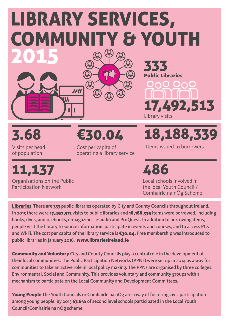# LIBRARY SERVICES, COMMUNITY & YOUTH



€30.04

 $\overline{\mathbf{m}}$ 

Cost per capita of operating a library service 18,188,339

17,492,513

Items issued to borrowers

Library visits

Public Libraries

333

Visits per head of population

Organisations on the Public Participation Network 11,137

Local schools involved in the local Youth Council / 486

Comhairle na nÓg Scheme

Libraries There are 333 public libraries operated by City and County Councils throughout Ireland. In 2015 there were 17,492,513 visits to public libraries and 18,188,339 items were borrowed, including books, dvds, audio, ebooks, e-magazines, e-audio and ProQuest. In addition to borrowing items, people visit the library to source information, participate in events and courses, and to access PCs and Wi-Fi. The cost per capita of the library service is  $\epsilon_{30.04}$ . Free membership was introduced to public libraries in January 2016. www.librariesireland.ie

Community and Voluntary City and County Councils play a central role in the development of their local communities. The Public Participation Networks (PPNs) were set up in 2014 as a way for communities to take an active role in local policy making. The PPNs are organised by three colleges: Environmental, Social and Community. This provides voluntary and community groups with a mechanism to participate on the Local Community and Development Committees.

Young People The Youth Councils or Comhairle na nÓg are a way of fostering civic participation among young people. By 2015 67.6% of second level schools participated in the Local Youth Council/Comhairle na nÓg scheme.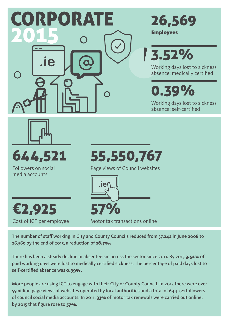

The number of staff working in City and County Councils reduced from 37,242 in June 2008 to 26,569 by the end of 2015, a reduction of 28.7%.

There has been a steady decline in absenteeism across the sector since 2011. By 2015 3.52% of paid working days were lost to medically certified sickness. The percentage of paid days lost to self-certified absence was **0.39%.** 

More people are using ICT to engage with their City or County Council. In 2015 there were over 55million page views of websites operated by local authorities and a total of 644,521 followers of council social media accounts. In 2011, 33% of motor tax renewals were carried out online, by 2015 that figure rose to 57%.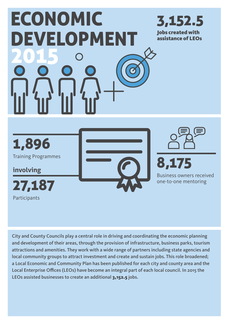

City and County Councils play a central role in driving and coordinating the economic planning and development of their areas, through the provision of infrastructure, business parks, tourism attractions and amenities. They work with a wide range of partners including state agencies and local community groups to attract investment and create and sustain jobs. This role broadened; a Local Economic and Community Plan has been published for each city and county area and the Local Enterprise Offices (LEOs) have become an integral part of each local council. In 2015 the LEOs assisted businesses to create an additional 3,152.5 jobs.